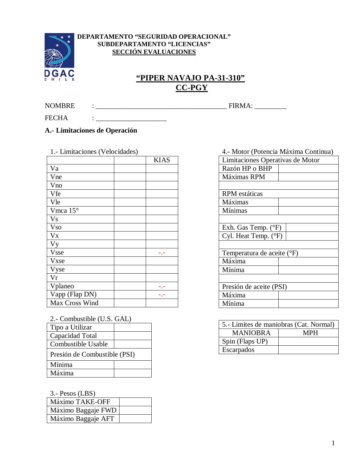

#### **DEPARTAMENTO "SEGURIDAD OPERACIONAL" SUBDEPARTAMENTO "LICENCIAS" SECCIÓN EVALUACIONES**

# GAC<br>
<u>"PIPER NAVAJO PA-31-310"</u> **CC-PGY**

NOMBRE : \_\_\_\_\_\_\_\_\_\_\_\_\_\_\_\_\_\_\_\_\_\_\_\_\_\_\_\_\_\_\_\_\_\_\_\_\_ FIRMA: \_\_\_\_\_\_\_\_\_

FECHA : \_\_\_\_\_\_\_\_\_\_\_\_\_\_\_\_\_\_\_\_

## **A.- Limitaciones de Operación**

| 1.- Limitaciones (Velocidades) |  |             |
|--------------------------------|--|-------------|
|                                |  | <b>KIAS</b> |
| Va                             |  |             |
| Vne                            |  |             |
| Vno                            |  |             |
| Vfe                            |  |             |
| Vle                            |  |             |
| Vmca $15^{\circ}$              |  |             |
| <b>Vs</b>                      |  |             |
| <b>Vso</b>                     |  |             |
| $V_{X}$                        |  |             |
| <b>Vy</b>                      |  |             |
| <b>Vsse</b>                    |  | -.-         |
| <b>V</b> xse                   |  |             |
| Vyse                           |  |             |
| Vr                             |  |             |
| Vplaneo                        |  |             |
| Vapp (Flap DN)                 |  |             |
| Max Cross Wind                 |  |             |

| 2.- Combustible (U.S. GAL) |  |
|----------------------------|--|
| Tipo a Utilizar            |  |

| 1 ipo a Utilizai             |  |
|------------------------------|--|
| Capacidad Total              |  |
| Combustible Usable           |  |
| Presión de Combustible (PSI) |  |
| Mínima                       |  |
| Máxima                       |  |

3.- Pesos (LBS)

| .                  |  |
|--------------------|--|
| Máximo TAKE-OFF    |  |
| Máximo Baggaje FWD |  |
| Máximo Baggaje AFT |  |

| 4.- Motor (Potencia Máxima Continua) |  |
|--------------------------------------|--|
| Limitaciones Operativas de Motor     |  |
| Razón HP o BHP                       |  |
| Máximas RPM                          |  |
|                                      |  |
| <b>RPM</b> estáticas                 |  |
| Máximas                              |  |
| Mínimas                              |  |
|                                      |  |
| Exh. Gas Temp. $(^{\circ}F)$         |  |
| Cyl. Heat Temp. (°F)                 |  |
|                                      |  |
| Temperatura de aceite (°F)           |  |
| Máxima                               |  |
| Mínima                               |  |
|                                      |  |
| Presión de aceite (PSI)              |  |
| Máxima                               |  |
| Mínima                               |  |

| 5.- Limites de maniobras (Cat. Normal) |     |
|----------------------------------------|-----|
| <b>MANIOBRA</b>                        | MPH |
| Spin (Flaps UP)                        |     |
| Escarpados                             |     |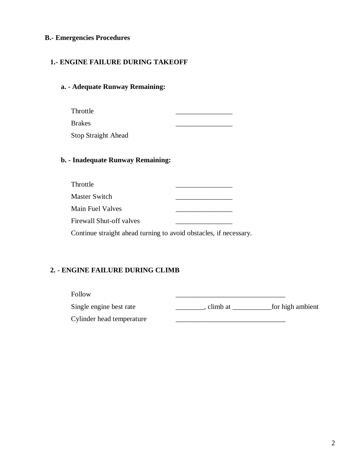### **B.- Emergencies Procedures**

#### **1.- ENGINE FAILURE DURING TAKEOFF**

#### **a. - Adequate Runway Remaining:**

Throttle \_\_\_\_\_\_\_\_\_\_\_\_\_\_\_\_

Brakes \_\_\_\_\_\_\_\_\_\_\_\_\_\_\_\_

Stop Straight Ahead

#### **b. - Inadequate Runway Remaining:**

| Throttle                        |  |
|---------------------------------|--|
| Master Switch                   |  |
| Main Fuel Valves                |  |
| <b>Firewall Shut-off valves</b> |  |

Continue straight ahead turning to avoid obstacles, if necessary.

#### **2. - ENGINE FAILURE DURING CLIMB**

Follow \_\_\_\_\_\_\_\_\_\_\_\_\_\_\_\_\_\_\_\_\_\_\_\_\_\_\_\_\_\_\_

Single engine best rate \_\_\_\_\_\_\_\_, climb at \_\_\_\_\_\_\_\_\_\_\_\_ for high ambient

Cylinder head temperature